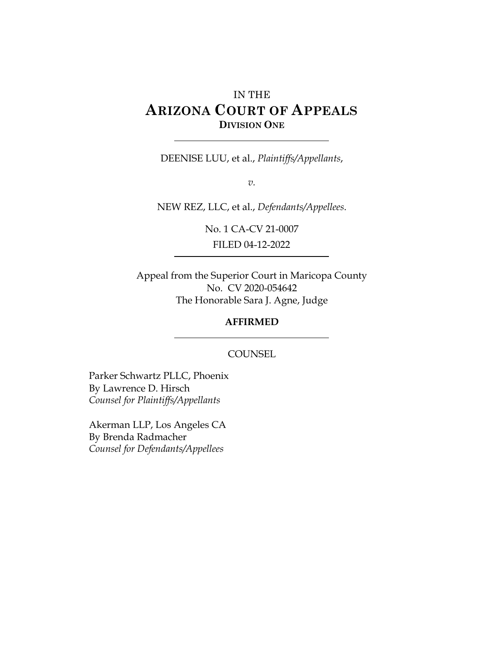# IN THE **ARIZONA COURT OF APPEALS DIVISION ONE**

DEENISE LUU, et al., *Plaintiffs/Appellants*,

*v.*

NEW REZ, LLC, et al., *Defendants/Appellees*.

No. 1 CA-CV 21-0007 FILED 04-12-2022

Appeal from the Superior Court in Maricopa County No. CV 2020-054642 The Honorable Sara J. Agne, Judge

#### **AFFIRMED**

#### **COUNSEL**

Parker Schwartz PLLC, Phoenix By Lawrence D. Hirsch *Counsel for Plaintiffs/Appellants*

Akerman LLP, Los Angeles CA By Brenda Radmacher *Counsel for Defendants/Appellees*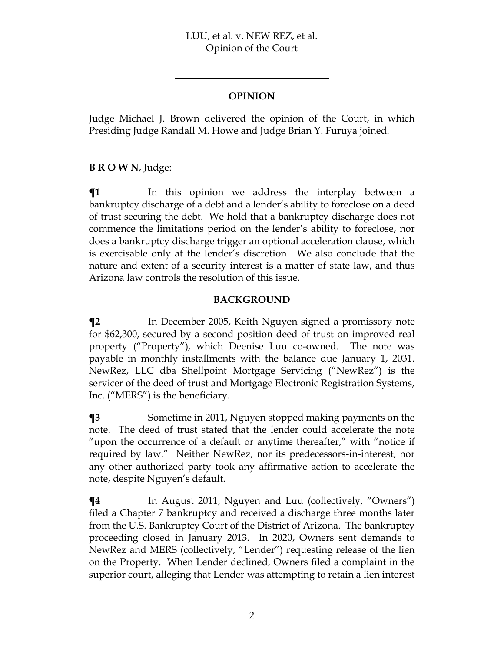#### **OPINION**

Judge Michael J. Brown delivered the opinion of the Court, in which Presiding Judge Randall M. Howe and Judge Brian Y. Furuya joined.

**B R O W N**, Judge:

 $\P$ **1** In this opinion we address the interplay between a bankruptcy discharge of a debt and a lender's ability to foreclose on a deed of trust securing the debt. We hold that a bankruptcy discharge does not commence the limitations period on the lender's ability to foreclose, nor does a bankruptcy discharge trigger an optional acceleration clause, which is exercisable only at the lender's discretion. We also conclude that the nature and extent of a security interest is a matter of state law, and thus Arizona law controls the resolution of this issue.

#### **BACKGROUND**

**¶2** In December 2005, Keith Nguyen signed a promissory note for \$62,300, secured by a second position deed of trust on improved real property ("Property"), which Deenise Luu co-owned. The note was payable in monthly installments with the balance due January 1, 2031. NewRez, LLC dba Shellpoint Mortgage Servicing ("NewRez") is the servicer of the deed of trust and Mortgage Electronic Registration Systems, Inc. ("MERS") is the beneficiary.

 $\textsf{I}$ **3** Sometime in 2011, Nguyen stopped making payments on the note. The deed of trust stated that the lender could accelerate the note "upon the occurrence of a default or anytime thereafter," with "notice if required by law." Neither NewRez, nor its predecessors-in-interest, nor any other authorized party took any affirmative action to accelerate the note, despite Nguyen's default.

 $\P$ **4** In August 2011, Nguyen and Luu (collectively, "Owners") filed a Chapter 7 bankruptcy and received a discharge three months later from the U.S. Bankruptcy Court of the District of Arizona. The bankruptcy proceeding closed in January 2013. In 2020, Owners sent demands to NewRez and MERS (collectively, "Lender") requesting release of the lien on the Property. When Lender declined, Owners filed a complaint in the superior court, alleging that Lender was attempting to retain a lien interest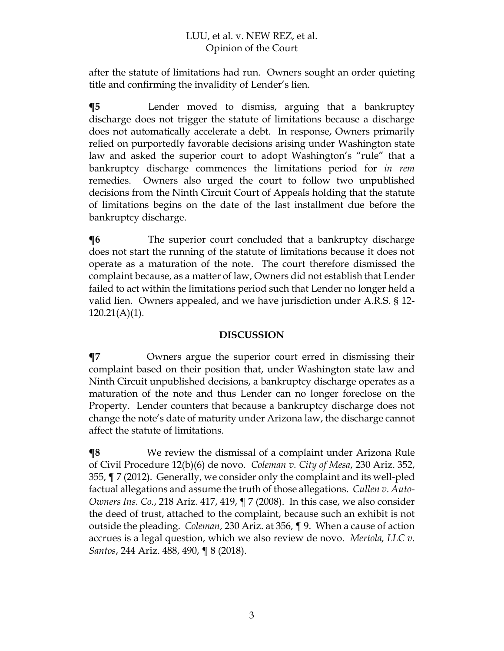after the statute of limitations had run. Owners sought an order quieting title and confirming the invalidity of Lender's lien.

**¶5** Lender moved to dismiss, arguing that a bankruptcy discharge does not trigger the statute of limitations because a discharge does not automatically accelerate a debt. In response, Owners primarily relied on purportedly favorable decisions arising under Washington state law and asked the superior court to adopt Washington's "rule" that a bankruptcy discharge commences the limitations period for *in rem* remedies. Owners also urged the court to follow two unpublished decisions from the Ninth Circuit Court of Appeals holding that the statute of limitations begins on the date of the last installment due before the bankruptcy discharge.

**The superior court concluded that a bankruptcy discharge** does not start the running of the statute of limitations because it does not operate as a maturation of the note. The court therefore dismissed the complaint because, as a matter of law, Owners did not establish that Lender failed to act within the limitations period such that Lender no longer held a valid lien. Owners appealed, and we have jurisdiction under A.R.S. § 12-  $120.21(A)(1)$ .

#### **DISCUSSION**

**¶7** Owners argue the superior court erred in dismissing their complaint based on their position that, under Washington state law and Ninth Circuit unpublished decisions, a bankruptcy discharge operates as a maturation of the note and thus Lender can no longer foreclose on the Property. Lender counters that because a bankruptcy discharge does not change the note's date of maturity under Arizona law, the discharge cannot affect the statute of limitations.

**¶8** We review the dismissal of a complaint under Arizona Rule of Civil Procedure 12(b)(6) de novo. *Coleman v. City of Mesa*, 230 Ariz. 352, 355, ¶ 7 (2012). Generally, we consider only the complaint and its well-pled factual allegations and assume the truth of those allegations. *Cullen v. Auto-Owners Ins. Co.*, 218 Ariz. 417, 419, ¶ 7 (2008). In this case, we also consider the deed of trust, attached to the complaint, because such an exhibit is not outside the pleading. *Coleman*, 230 Ariz. at 356, ¶ 9. When a cause of action accrues is a legal question, which we also review de novo. *Mertola, LLC v. Santos*, 244 Ariz. 488, 490, ¶ 8 (2018).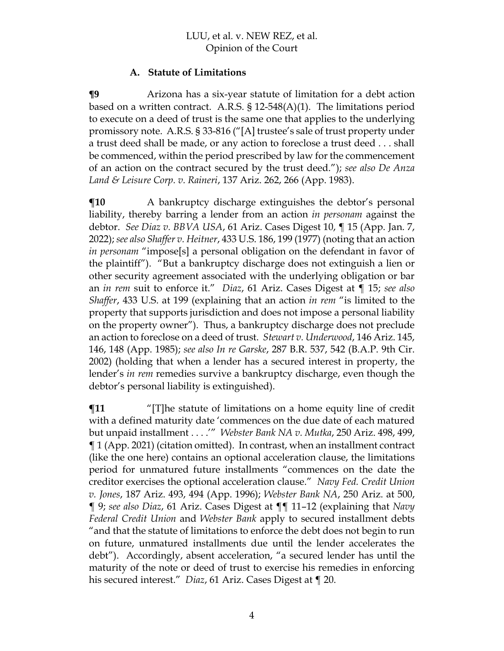#### **A. Statute of Limitations**

**¶9** Arizona has a six-year statute of limitation for a debt action based on a written contract. A.R.S. § 12-548(A)(1). The limitations period to execute on a deed of trust is the same one that applies to the underlying promissory note. A.R.S. § 33-816 ("[A] trustee's sale of trust property under a trust deed shall be made, or any action to foreclose a trust deed . . . shall be commenced, within the period prescribed by law for the commencement of an action on the contract secured by the trust deed."); *see also De Anza Land & Leisure Corp. v. Raineri*, 137 Ariz. 262, 266 (App. 1983).

**[10** A bankruptcy discharge extinguishes the debtor's personal liability, thereby barring a lender from an action *in personam* against the debtor. *See Diaz v. BBVA USA*, 61 Ariz. Cases Digest 10, ¶ 15 (App. Jan. 7, 2022); *see also Shaffer v. Heitner*, 433 U.S. 186, 199 (1977) (noting that an action *in personam* "impose[s] a personal obligation on the defendant in favor of the plaintiff"). "But a bankruptcy discharge does not extinguish a lien or other security agreement associated with the underlying obligation or bar an *in rem* suit to enforce it." *Diaz*, 61 Ariz. Cases Digest at ¶ 15; *see also Shaffer*, 433 U.S. at 199 (explaining that an action *in rem* "is limited to the property that supports jurisdiction and does not impose a personal liability on the property owner"). Thus, a bankruptcy discharge does not preclude an action to foreclose on a deed of trust. *Stewart v. Underwood*, 146 Ariz. 145, 146, 148 (App. 1985); *see also In re Garske*, 287 B.R. 537, 542 (B.A.P. 9th Cir. 2002) (holding that when a lender has a secured interest in property, the lender's *in rem* remedies survive a bankruptcy discharge, even though the debtor's personal liability is extinguished).

**¶11** "[T]he statute of limitations on a home equity line of credit with a defined maturity date 'commences on the due date of each matured but unpaid installment . . . .'" *Webster Bank NA v. Mutka*, 250 Ariz. 498, 499, ¶ 1 (App. 2021) (citation omitted). In contrast, when an installment contract (like the one here) contains an optional acceleration clause, the limitations period for unmatured future installments "commences on the date the creditor exercises the optional acceleration clause." *Navy Fed. Credit Union v. Jones*, 187 Ariz. 493, 494 (App. 1996); *Webster Bank NA*, 250 Ariz. at 500, ¶ 9; *see also Diaz*, 61 Ariz. Cases Digest at ¶¶ 11–12 (explaining that *Navy Federal Credit Union* and *Webster Bank* apply to secured installment debts "and that the statute of limitations to enforce the debt does not begin to run on future, unmatured installments due until the lender accelerates the debt"). Accordingly, absent acceleration, "a secured lender has until the maturity of the note or deed of trust to exercise his remedies in enforcing his secured interest." *Diaz*, 61 Ariz. Cases Digest at ¶ 20.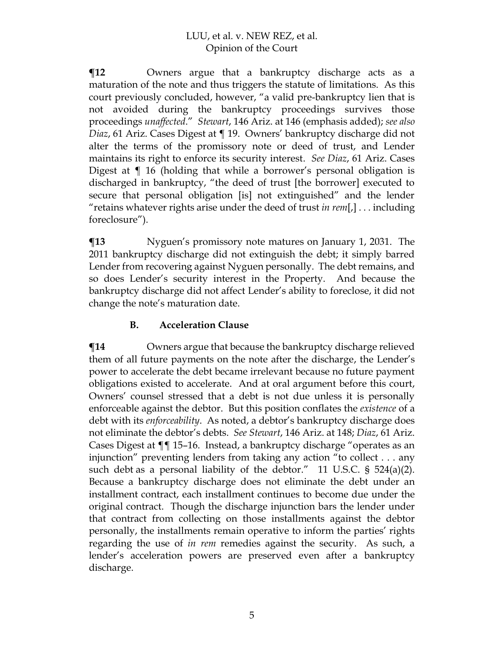**¶12** Owners argue that a bankruptcy discharge acts as a maturation of the note and thus triggers the statute of limitations. As this court previously concluded, however, "a valid pre-bankruptcy lien that is not avoided during the bankruptcy proceedings survives those proceedings *unaffected*." *Stewart*, 146 Ariz. at 146 (emphasis added); *see also Diaz*, 61 Ariz. Cases Digest at ¶ 19. Owners' bankruptcy discharge did not alter the terms of the promissory note or deed of trust, and Lender maintains its right to enforce its security interest. *See Diaz*, 61 Ariz. Cases Digest at ¶ 16 (holding that while a borrower's personal obligation is discharged in bankruptcy, "the deed of trust [the borrower] executed to secure that personal obligation [is] not extinguished" and the lender "retains whatever rights arise under the deed of trust *in rem*[,] . . . including foreclosure").

**¶13** Nyguen's promissory note matures on January 1, 2031. The 2011 bankruptcy discharge did not extinguish the debt; it simply barred Lender from recovering against Nyguen personally. The debt remains, and so does Lender's security interest in the Property. And because the bankruptcy discharge did not affect Lender's ability to foreclose, it did not change the note's maturation date.

#### **B. Acceleration Clause**

**¶14** Owners argue that because the bankruptcy discharge relieved them of all future payments on the note after the discharge, the Lender's power to accelerate the debt became irrelevant because no future payment obligations existed to accelerate. And at oral argument before this court, Owners' counsel stressed that a debt is not due unless it is personally enforceable against the debtor. But this position conflates the *existence* of a debt with its *enforceability*. As noted, a debtor's bankruptcy discharge does not eliminate the debtor's debts. *See Stewart*, 146 Ariz. at 148; *Diaz*, 61 Ariz. Cases Digest at ¶¶ 15–16. Instead, a bankruptcy discharge "operates as an injunction" preventing lenders from taking any action "to collect . . . any such debt as a personal liability of the debtor." 11 U.S.C.  $\S$  524(a)(2). Because a bankruptcy discharge does not eliminate the debt under an installment contract, each installment continues to become due under the original contract. Though the discharge injunction bars the lender under that contract from collecting on those installments against the debtor personally, the installments remain operative to inform the parties' rights regarding the use of *in rem* remedies against the security. As such, a lender's acceleration powers are preserved even after a bankruptcy discharge.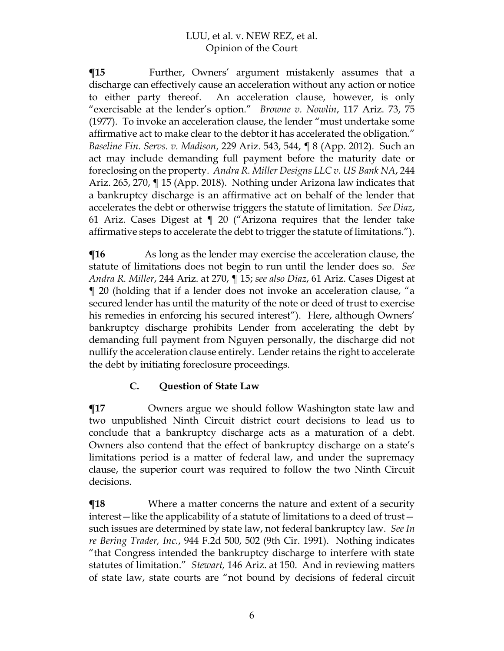**¶15** Further, Owners' argument mistakenly assumes that a discharge can effectively cause an acceleration without any action or notice to either party thereof. An acceleration clause, however, is only "exercisable at the lender's option." *Browne v. Nowlin*, 117 Ariz. 73, 75 (1977). To invoke an acceleration clause, the lender "must undertake some affirmative act to make clear to the debtor it has accelerated the obligation." *Baseline Fin. Servs. v. Madison*, 229 Ariz. 543, 544, ¶ 8 (App. 2012). Such an act may include demanding full payment before the maturity date or foreclosing on the property. *Andra R. Miller Designs LLC v. US Bank NA*, 244 Ariz. 265, 270, ¶ 15 (App. 2018). Nothing under Arizona law indicates that a bankruptcy discharge is an affirmative act on behalf of the lender that accelerates the debt or otherwise triggers the statute of limitation. *See Diaz*, 61 Ariz. Cases Digest at ¶ 20 ("Arizona requires that the lender take affirmative steps to accelerate the debt to trigger the statute of limitations.").

**The** As long as the lender may exercise the acceleration clause, the statute of limitations does not begin to run until the lender does so. *See Andra R. Miller*, 244 Ariz. at 270, ¶ 15; *see also Diaz*, 61 Ariz. Cases Digest at ¶ 20 (holding that if a lender does not invoke an acceleration clause, "a secured lender has until the maturity of the note or deed of trust to exercise his remedies in enforcing his secured interest"). Here, although Owners' bankruptcy discharge prohibits Lender from accelerating the debt by demanding full payment from Nguyen personally, the discharge did not nullify the acceleration clause entirely. Lender retains the right to accelerate the debt by initiating foreclosure proceedings.

## **C. Question of State Law**

**¶17** Owners argue we should follow Washington state law and two unpublished Ninth Circuit district court decisions to lead us to conclude that a bankruptcy discharge acts as a maturation of a debt. Owners also contend that the effect of bankruptcy discharge on a state's limitations period is a matter of federal law, and under the supremacy clause, the superior court was required to follow the two Ninth Circuit decisions.

**The EXT** We Where a matter concerns the nature and extent of a security interest—like the applicability of a statute of limitations to a deed of trust such issues are determined by state law, not federal bankruptcy law. *See In re Bering Trader, Inc.*, 944 F.2d 500, 502 (9th Cir. 1991). Nothing indicates "that Congress intended the bankruptcy discharge to interfere with state statutes of limitation." *Stewart,* 146 Ariz. at 150. And in reviewing matters of state law, state courts are "not bound by decisions of federal circuit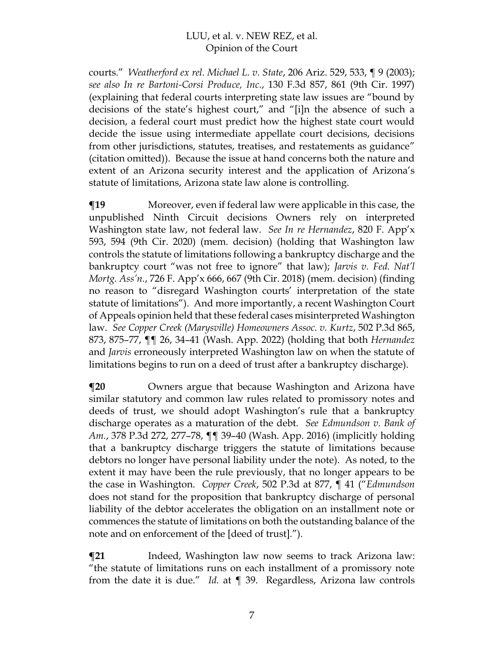courts." *Weatherford ex rel. Michael L. v. State*, 206 Ariz. 529, 533, ¶ 9 (2003); *see also In re Bartoni-Corsi Produce, Inc.*, 130 F.3d 857, 861 (9th Cir. 1997) (explaining that federal courts interpreting state law issues are "bound by decisions of the state's highest court," and "[i]n the absence of such a decision, a federal court must predict how the highest state court would decide the issue using intermediate appellate court decisions, decisions from other jurisdictions, statutes, treatises, and restatements as guidance" (citation omitted)). Because the issue at hand concerns both the nature and extent of an Arizona security interest and the application of Arizona's statute of limitations, Arizona state law alone is controlling.

**¶19** Moreover, even if federal law were applicable in this case, the unpublished Ninth Circuit decisions Owners rely on interpreted Washington state law, not federal law. *See In re Hernandez*, 820 F. App'x 593, 594 (9th Cir. 2020) (mem. decision) (holding that Washington law controls the statute of limitations following a bankruptcy discharge and the bankruptcy court "was not free to ignore" that law); *Jarvis v. Fed. Nat'l Mortg. Ass'n.*, 726 F. App'x 666, 667 (9th Cir. 2018) (mem. decision) (finding no reason to "disregard Washington courts' interpretation of the state statute of limitations"). And more importantly, a recent Washington Court of Appeals opinion held that these federal cases misinterpreted Washington law. *See Copper Creek (Marysville) Homeowners Assoc. v. Kurtz*, 502 P.3d 865, 873, 875–77, ¶¶ 26, 34–41 (Wash. App. 2022) (holding that both *Hernandez*  and *Jarvis* erroneously interpreted Washington law on when the statute of limitations begins to run on a deed of trust after a bankruptcy discharge).

**¶20** Owners argue that because Washington and Arizona have similar statutory and common law rules related to promissory notes and deeds of trust, we should adopt Washington's rule that a bankruptcy discharge operates as a maturation of the debt. *See Edmundson v. Bank of Am.*, 378 P.3d 272, 277–78, ¶¶ 39–40 (Wash. App. 2016) (implicitly holding that a bankruptcy discharge triggers the statute of limitations because debtors no longer have personal liability under the note). As noted, to the extent it may have been the rule previously, that no longer appears to be the case in Washington. *Copper Creek*, 502 P.3d at 877, ¶ 41 ("*Edmundson*  does not stand for the proposition that bankruptcy discharge of personal liability of the debtor accelerates the obligation on an installment note or commences the statute of limitations on both the outstanding balance of the note and on enforcement of the [deed of trust].").

**¶21** Indeed, Washington law now seems to track Arizona law: "the statute of limitations runs on each installment of a promissory note from the date it is due." *Id.* at ¶ 39. Regardless, Arizona law controls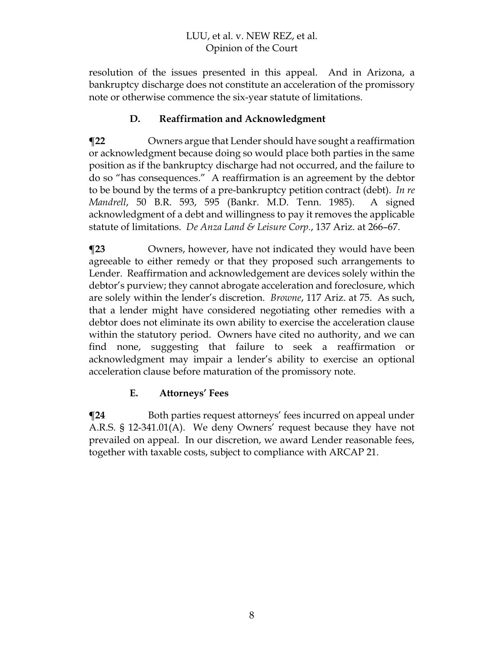resolution of the issues presented in this appeal. And in Arizona, a bankruptcy discharge does not constitute an acceleration of the promissory note or otherwise commence the six-year statute of limitations.

## **D. Reaffirmation and Acknowledgment**

**¶22** Owners argue that Lender should have sought a reaffirmation or acknowledgment because doing so would place both parties in the same position as if the bankruptcy discharge had not occurred, and the failure to do so "has consequences." A reaffirmation is an agreement by the debtor to be bound by the terms of a pre-bankruptcy petition contract (debt). *In re Mandrell*, 50 B.R. 593, 595 (Bankr. M.D. Tenn. 1985). A signed acknowledgment of a debt and willingness to pay it removes the applicable statute of limitations. *De Anza Land & Leisure Corp.*, 137 Ariz. at 266–67.

**¶23** Owners, however, have not indicated they would have been agreeable to either remedy or that they proposed such arrangements to Lender. Reaffirmation and acknowledgement are devices solely within the debtor's purview; they cannot abrogate acceleration and foreclosure, which are solely within the lender's discretion. *Browne*, 117 Ariz. at 75. As such, that a lender might have considered negotiating other remedies with a debtor does not eliminate its own ability to exercise the acceleration clause within the statutory period. Owners have cited no authority, and we can find none, suggesting that failure to seek a reaffirmation or acknowledgment may impair a lender's ability to exercise an optional acceleration clause before maturation of the promissory note.

## **E. Attorneys' Fees**

**¶24** Both parties request attorneys' fees incurred on appeal under A.R.S. § 12-341.01(A). We deny Owners' request because they have not prevailed on appeal. In our discretion, we award Lender reasonable fees, together with taxable costs, subject to compliance with ARCAP 21.